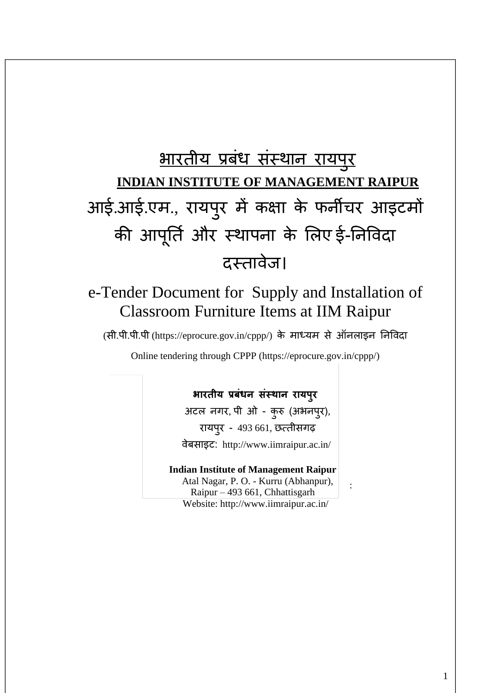# भारतीय प्रबधं संस्थान रायप ुर **INDIAN INSTITUTE OF MANAGEMENT RAIPUR** आई.आई.एम., रायप ुर में कक्षा के फनीचर आइटमों की आप ू र्ति और स्थापना के लिए ई-र्नविदा दस्तावेज।

## e-Tender Document for Supply and Installation of Classroom Furniture Items at IIM Raipur

(सी.पी.पी.पी (https://eprocure.gov.in/cppp/) के माध्यम से ऑनिाइन र्नविदा

Online tendering through CPPP (https://eprocure.gov.in/cppp/)

## **भारतीय प्रबंधन संस्थान रायपुर**

अटल नगर, पी ओ - कुरु (अभनपुर), रायपुर - 493 661, छत्तीसगढ़ िेबसाइट: http://www.iimraipur.ac.in/

#### **Indian Institute of Management Raipur**

 Atal Nagar, P. O. - Kurru (Abhanpur), Raipur – 493 661, Chhattisgarh Website:<http://www.iimraipur.ac.in/>

: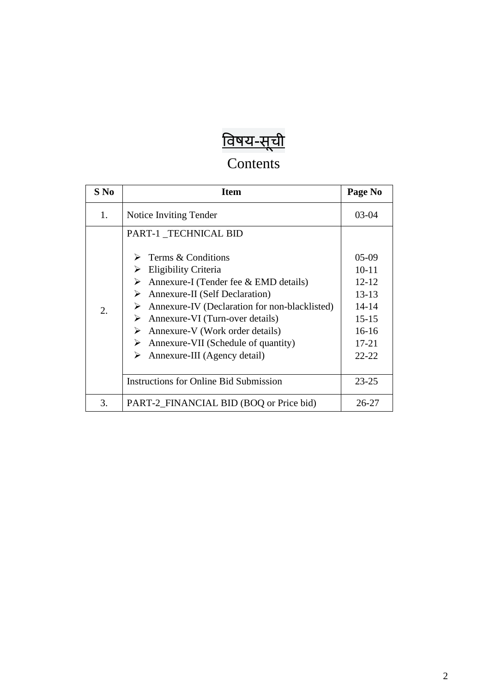## <u>विषय-सूची</u>

## Contents

| $S$ No | <b>Item</b>                                                                                                                                                                                                                                                                                                                                                                                                                                                          | Page No                                                                                                                    |
|--------|----------------------------------------------------------------------------------------------------------------------------------------------------------------------------------------------------------------------------------------------------------------------------------------------------------------------------------------------------------------------------------------------------------------------------------------------------------------------|----------------------------------------------------------------------------------------------------------------------------|
| 1.     | Notice Inviting Tender                                                                                                                                                                                                                                                                                                                                                                                                                                               | $03-04$                                                                                                                    |
| 2.     | PART-1 TECHNICAL BID<br>Terms & Conditions<br>$\blacktriangleright$<br>Eligibility Criteria<br>➤<br>Annexure-I (Tender fee & EMD details)<br>➤<br><b>Annexure-II</b> (Self Declaration)<br>➤<br>Annexure-IV (Declaration for non-blacklisted)<br>➤<br>Annexure-VI (Turn-over details)<br>≻<br>Annexure-V (Work order details)<br>➤<br>Annexure-VII (Schedule of quantity)<br>➤<br>Annexure-III (Agency detail)<br>➤<br><b>Instructions for Online Bid Submission</b> | $05-09$<br>$10 - 11$<br>$12 - 12$<br>$13 - 13$<br>$14 - 14$<br>$15 - 15$<br>$16-16$<br>$17 - 21$<br>$22 - 22$<br>$23 - 25$ |
| 3.     | PART-2_FINANCIAL BID (BOQ or Price bid)                                                                                                                                                                                                                                                                                                                                                                                                                              | $26 - 27$                                                                                                                  |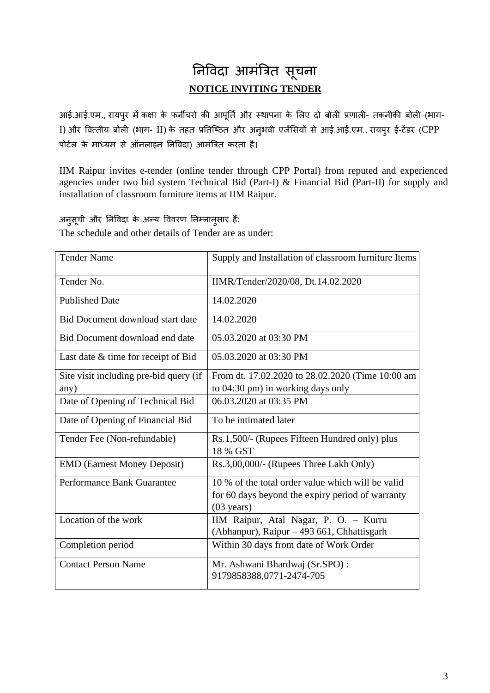## र्नविदा आमंत्रित सू चना **NOTICE INVITING TENDER**

आई.आई.एम., रायपुर में कक्षा के फर्नीचरो की आपूर्ति और स्थापना के लिए दो बोली प्रणाली- तकनीकी बोली (भाग-I) और वित्तीय बोली (भाग- II) के तहत प्रतिष्ठित और अनुभवी एजेंसियों से आई.आई.एम., रायपुर ई-टेंडर (CPP पोर्टल के माध्यम से ऑनलाइन निविदा) आमंत्रित करता है।

IIM Raipur invites e-tender (online tender through CPP Portal) from reputed and experienced agencies under two bid system Technical Bid (Part-I) & Financial Bid (Part-II) for supply and installation of classroom furniture items at IIM Raipur.

अनुसूची और निविदा के अन्य विवरण निम्नानुसार हैं:

The schedule and other details of Tender are as under:

| <b>Tender Name</b>                             | Supply and Installation of classroom furniture Items                                                                          |
|------------------------------------------------|-------------------------------------------------------------------------------------------------------------------------------|
| Tender No.                                     | IIMR/Tender/2020/08, Dt.14.02.2020                                                                                            |
| <b>Published Date</b>                          | 14.02.2020                                                                                                                    |
| Bid Document download start date               | 14.02.2020                                                                                                                    |
| Bid Document download end date                 | 05.03.2020 at 03:30 PM                                                                                                        |
| Last date & time for receipt of Bid            | 05.03.2020 at 03:30 PM                                                                                                        |
| Site visit including pre-bid query (if<br>any) | From dt. 17.02.2020 to 28.02.2020 (Time 10:00 am<br>to 04:30 pm) in working days only                                         |
| Date of Opening of Technical Bid               | 06.03.2020 at 03:35 PM                                                                                                        |
| Date of Opening of Financial Bid               | To be intimated later                                                                                                         |
| Tender Fee (Non-refundable)                    | Rs.1,500/- (Rupees Fifteen Hundred only) plus<br>18 % GST                                                                     |
| <b>EMD</b> (Earnest Money Deposit)             | Rs.3,00,000/- (Rupees Three Lakh Only)                                                                                        |
| Performance Bank Guarantee                     | 10 % of the total order value which will be valid<br>for 60 days beyond the expiry period of warranty<br>$(03 \text{ years})$ |
| Location of the work                           | IIM Raipur, Atal Nagar, P. O. - Kurru<br>(Abhanpur), Raipur - 493 661, Chhattisgarh                                           |
| Completion period                              | Within 30 days from date of Work Order                                                                                        |
| <b>Contact Person Name</b>                     | Mr. Ashwani Bhardwaj (Sr.SPO):<br>9179858388,0771-2474-705                                                                    |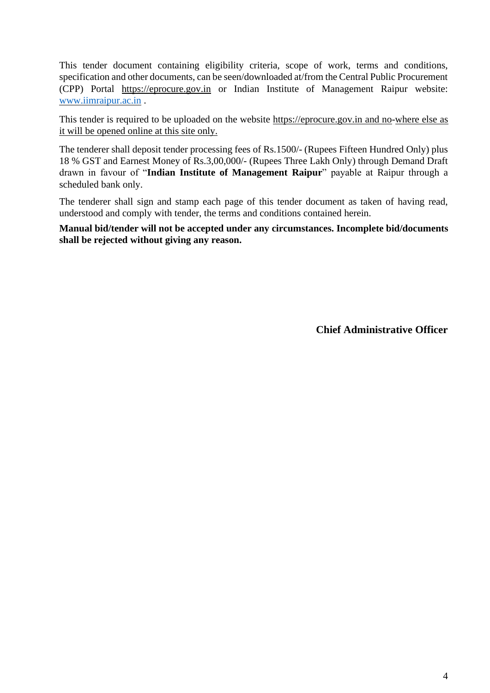This tender document containing eligibility criteria, scope of work, terms and conditions, specification and other documents, can be seen/downloaded at/from the Central Public Procurement (CPP) Portal https://eprocure.gov.in or Indian Institute of Management Raipur website[:](http://www.iimu.ac.in/) [www.iimraipur.ac.in](http://www.iimraipur.ac.in/) .

This tender is required to be uploaded on the website [https://eprocure.gov.in](https://eprocure.gov.in/) [a](https://eprocure.gov.in/)nd no-where else as it will be opened online at this site only.

The tenderer shall deposit tender processing fees of Rs.1500/- (Rupees Fifteen Hundred Only) plus 18 % GST and Earnest Money of Rs.3,00,000/- (Rupees Three Lakh Only) through Demand Draft drawn in favour of "**Indian Institute of Management Raipur**" payable at Raipur through a scheduled bank only.

The tenderer shall sign and stamp each page of this tender document as taken of having read, understood and comply with tender, the terms and conditions contained herein.

**Manual bid/tender will not be accepted under any circumstances. Incomplete bid/documents shall be rejected without giving any reason.** 

**Chief Administrative Officer**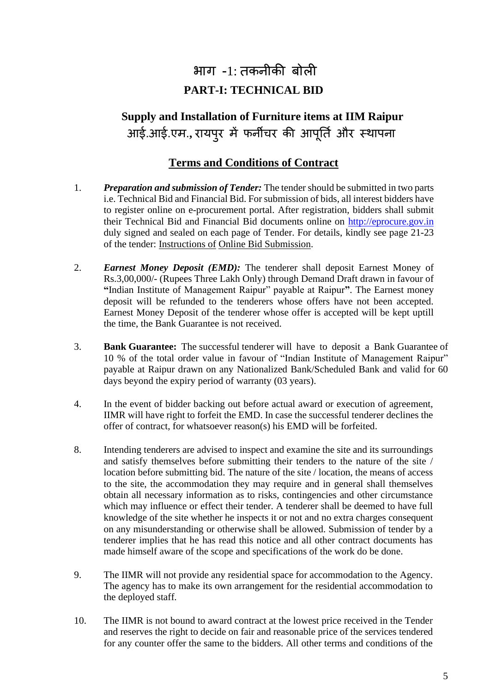## भाग -1: तकनीकी बोिी **PART-I: TECHNICAL BID**

## **Supply and Installation of Furniture items at IIM Raipur**  आई.आई.एम.**,** रायप ुर में फनीचर की आप ू र्ति और स्थापना

#### **Terms and Conditions of Contract**

- 1. *Preparation and submission of Tender:* The tender should be submitted in two parts i.e. Technical Bid and Financial Bid. For submission of bids, all interest bidders have to register online on e-procurement portal. After registration, bidders shall submit their Technical Bid and Financial Bid documents online on [http://eprocure.gov.in](http://eprocure.gov.in/) duly signed and sealed on each page of Tender. For details, kindly see page 21-23 of the tender: Instructions of Online Bid Submission.
- 2. *Earnest Money Deposit (EMD):* The tenderer shall deposit Earnest Money of Rs.3,00,000/- (Rupees Three Lakh Only) through Demand Draft drawn in favour of **"**Indian Institute of Management Raipur" payable at Raipur**"**. The Earnest money deposit will be refunded to the tenderers whose offers have not been accepted. Earnest Money Deposit of the tenderer whose offer is accepted will be kept uptill the time, the Bank Guarantee is not received.
- 3. **Bank Guarantee:** The successful tenderer will have to deposit a Bank Guarantee of 10 % of the total order value in favour of "Indian Institute of Management Raipur" payable at Raipur drawn on any Nationalized Bank/Scheduled Bank and valid for 60 days beyond the expiry period of warranty (03 years).
- 4. In the event of bidder backing out before actual award or execution of agreement, IIMR will have right to forfeit the EMD. In case the successful tenderer declines the offer of contract, for whatsoever reason(s) his EMD will be forfeited.
- 8. Intending tenderers are advised to inspect and examine the site and its surroundings and satisfy themselves before submitting their tenders to the nature of the site / location before submitting bid. The nature of the site / location, the means of access to the site, the accommodation they may require and in general shall themselves obtain all necessary information as to risks, contingencies and other circumstance which may influence or effect their tender. A tenderer shall be deemed to have full knowledge of the site whether he inspects it or not and no extra charges consequent on any misunderstanding or otherwise shall be allowed. Submission of tender by a tenderer implies that he has read this notice and all other contract documents has made himself aware of the scope and specifications of the work do be done.
- 9. The IIMR will not provide any residential space for accommodation to the Agency. The agency has to make its own arrangement for the residential accommodation to the deployed staff.
- 10. The IIMR is not bound to award contract at the lowest price received in the Tender and reserves the right to decide on fair and reasonable price of the services tendered for any counter offer the same to the bidders. All other terms and conditions of the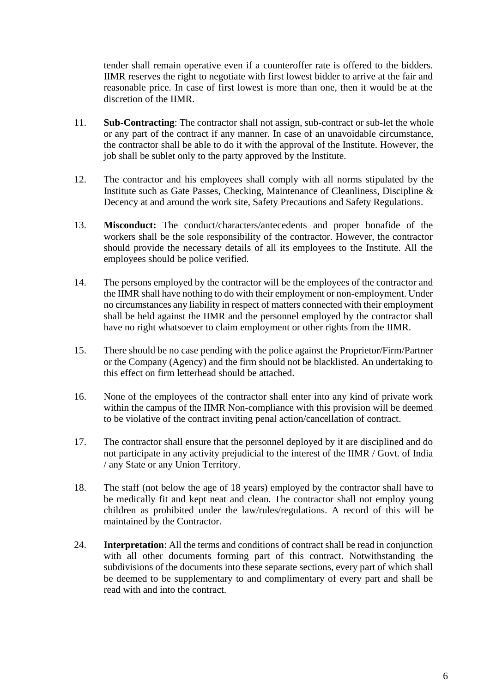tender shall remain operative even if a counteroffer rate is offered to the bidders. IIMR reserves the right to negotiate with first lowest bidder to arrive at the fair and reasonable price. In case of first lowest is more than one, then it would be at the discretion of the IIMR.

- 11. **Sub-Contracting**: The contractor shall not assign, sub-contract or sub-let the whole or any part of the contract if any manner. In case of an unavoidable circumstance, the contractor shall be able to do it with the approval of the Institute. However, the job shall be sublet only to the party approved by the Institute.
- 12. The contractor and his employees shall comply with all norms stipulated by the Institute such as Gate Passes, Checking, Maintenance of Cleanliness, Discipline & Decency at and around the work site, Safety Precautions and Safety Regulations.
- 13. **Misconduct:** The conduct/characters/antecedents and proper bonafide of the workers shall be the sole responsibility of the contractor. However, the contractor should provide the necessary details of all its employees to the Institute. All the employees should be police verified.
- 14. The persons employed by the contractor will be the employees of the contractor and the IIMR shall have nothing to do with their employment or non-employment. Under no circumstances any liability in respect of matters connected with their employment shall be held against the IIMR and the personnel employed by the contractor shall have no right whatsoever to claim employment or other rights from the IIMR.
- 15. There should be no case pending with the police against the Proprietor/Firm/Partner or the Company (Agency) and the firm should not be blacklisted. An undertaking to this effect on firm letterhead should be attached.
- 16. None of the employees of the contractor shall enter into any kind of private work within the campus of the IIMR Non-compliance with this provision will be deemed to be violative of the contract inviting penal action/cancellation of contract.
- 17. The contractor shall ensure that the personnel deployed by it are disciplined and do not participate in any activity prejudicial to the interest of the IIMR / Govt. of India / any State or any Union Territory.
- 18. The staff (not below the age of 18 years) employed by the contractor shall have to be medically fit and kept neat and clean. The contractor shall not employ young children as prohibited under the law/rules/regulations. A record of this will be maintained by the Contractor.
- 24. **Interpretation**: All the terms and conditions of contract shall be read in conjunction with all other documents forming part of this contract. Notwithstanding the subdivisions of the documents into these separate sections, every part of which shall be deemed to be supplementary to and complimentary of every part and shall be read with and into the contract.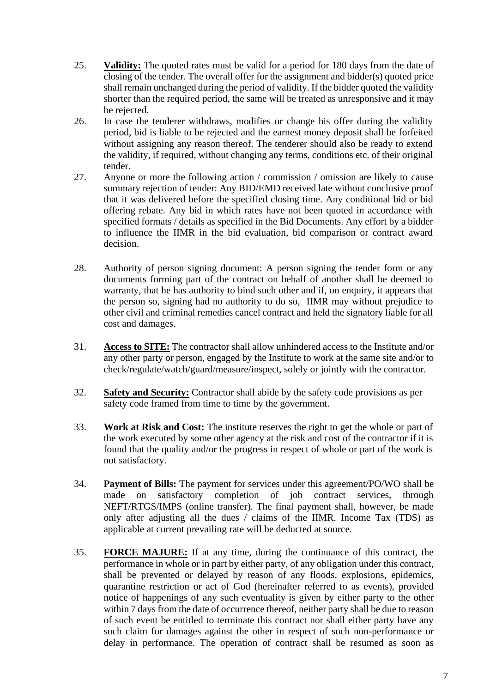- 25. **Validity:** The quoted rates must be valid for a period for 180 days from the date of closing of the tender. The overall offer for the assignment and bidder(s) quoted price shall remain unchanged during the period of validity. If the bidder quoted the validity shorter than the required period, the same will be treated as unresponsive and it may be rejected.
- 26. In case the tenderer withdraws, modifies or change his offer during the validity period, bid is liable to be rejected and the earnest money deposit shall be forfeited without assigning any reason thereof. The tenderer should also be ready to extend the validity, if required, without changing any terms, conditions etc. of their original tender.
- 27. Anyone or more the following action / commission / omission are likely to cause summary rejection of tender: Any BID/EMD received late without conclusive proof that it was delivered before the specified closing time. Any conditional bid or bid offering rebate. Any bid in which rates have not been quoted in accordance with specified formats / details as specified in the Bid Documents. Any effort by a bidder to influence the IIMR in the bid evaluation, bid comparison or contract award decision.
- 28. Authority of person signing document: A person signing the tender form or any documents forming part of the contract on behalf of another shall be deemed to warranty, that he has authority to bind such other and if, on enquiry, it appears that the person so, signing had no authority to do so, IIMR may without prejudice to other civil and criminal remedies cancel contract and held the signatory liable for all cost and damages.
- 31. **Access to SITE:** The contractor shall allow unhindered access to the Institute and/or any other party or person, engaged by the Institute to work at the same site and/or to check/regulate/watch/guard/measure/inspect, solely or jointly with the contractor.
- 32. **Safety and Security:** Contractor shall abide by the safety code provisions as per safety code framed from time to time by the government.
- 33. **Work at Risk and Cost:** The institute reserves the right to get the whole or part of the work executed by some other agency at the risk and cost of the contractor if it is found that the quality and/or the progress in respect of whole or part of the work is not satisfactory.
- 34. **Payment of Bills:** The payment for services under this agreement/PO/WO shall be made on satisfactory completion of job contract services, through NEFT/RTGS/IMPS (online transfer). The final payment shall, however, be made only after adjusting all the dues / claims of the IIMR. Income Tax (TDS) as applicable at current prevailing rate will be deducted at source.
- 35. **FORCE MAJURE:** If at any time, during the continuance of this contract, the performance in whole or in part by either party, of any obligation under this contract, shall be prevented or delayed by reason of any floods, explosions, epidemics, quarantine restriction or act of God (hereinafter referred to as events), provided notice of happenings of any such eventuality is given by either party to the other within 7 days from the date of occurrence thereof, neither party shall be due to reason of such event be entitled to terminate this contract nor shall either party have any such claim for damages against the other in respect of such non-performance or delay in performance. The operation of contract shall be resumed as soon as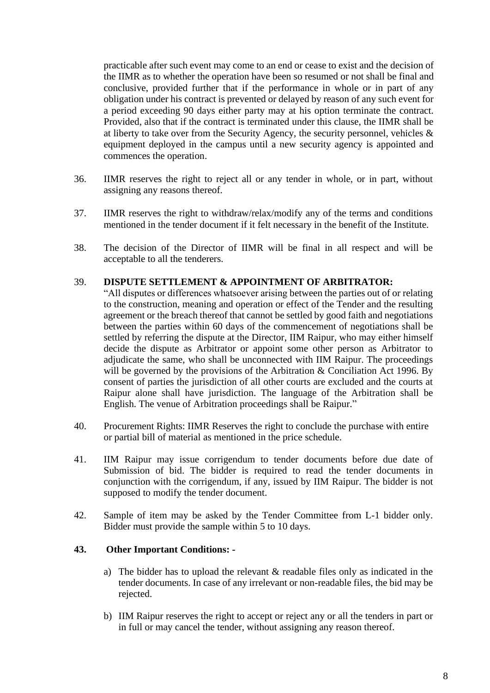practicable after such event may come to an end or cease to exist and the decision of the IIMR as to whether the operation have been so resumed or not shall be final and conclusive, provided further that if the performance in whole or in part of any obligation under his contract is prevented or delayed by reason of any such event for a period exceeding 90 days either party may at his option terminate the contract. Provided, also that if the contract is terminated under this clause, the IIMR shall be at liberty to take over from the Security Agency, the security personnel, vehicles & equipment deployed in the campus until a new security agency is appointed and commences the operation.

- 36. IIMR reserves the right to reject all or any tender in whole, or in part, without assigning any reasons thereof.
- 37. IIMR reserves the right to withdraw/relax/modify any of the terms and conditions mentioned in the tender document if it felt necessary in the benefit of the Institute.
- 38. The decision of the Director of IIMR will be final in all respect and will be acceptable to all the tenderers.

#### 39. **DISPUTE SETTLEMENT & APPOINTMENT OF ARBITRATOR:**

"All disputes or differences whatsoever arising between the parties out of or relating to the construction, meaning and operation or effect of the Tender and the resulting agreement or the breach thereof that cannot be settled by good faith and negotiations between the parties within 60 days of the commencement of negotiations shall be settled by referring the dispute at the Director, IIM Raipur, who may either himself decide the dispute as Arbitrator or appoint some other person as Arbitrator to adjudicate the same, who shall be unconnected with IIM Raipur. The proceedings will be governed by the provisions of the Arbitration & Conciliation Act 1996. By consent of parties the jurisdiction of all other courts are excluded and the courts at Raipur alone shall have jurisdiction. The language of the Arbitration shall be English. The venue of Arbitration proceedings shall be Raipur."

- 40. Procurement Rights: IIMR Reserves the right to conclude the purchase with entire or partial bill of material as mentioned in the price schedule.
- 41. IIM Raipur may issue corrigendum to tender documents before due date of Submission of bid. The bidder is required to read the tender documents in conjunction with the corrigendum, if any, issued by IIM Raipur. The bidder is not supposed to modify the tender document.
- 42. Sample of item may be asked by the Tender Committee from L-1 bidder only. Bidder must provide the sample within 5 to 10 days.

#### **43. Other Important Conditions: -**

- a) The bidder has to upload the relevant & readable files only as indicated in the tender documents. In case of any irrelevant or non-readable files, the bid may be rejected.
- b) IIM Raipur reserves the right to accept or reject any or all the tenders in part or in full or may cancel the tender, without assigning any reason thereof.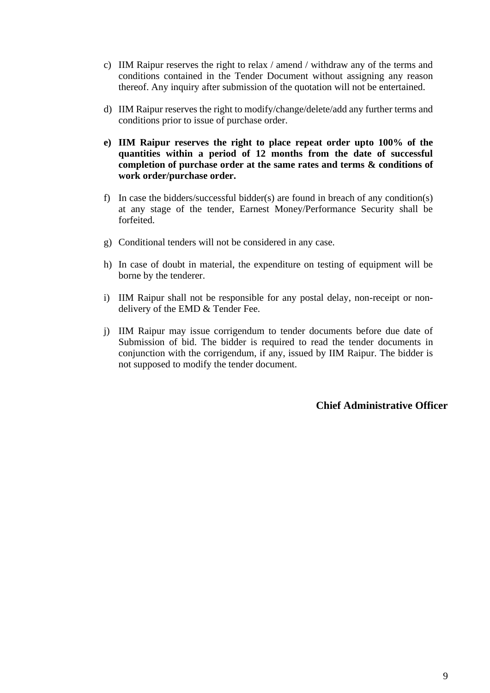- c) IIM Raipur reserves the right to relax / amend / withdraw any of the terms and conditions contained in the Tender Document without assigning any reason thereof. Any inquiry after submission of the quotation will not be entertained.
- d) IIM Raipur reserves the right to modify/change/delete/add any further terms and conditions prior to issue of purchase order.
- **e) IIM Raipur reserves the right to place repeat order upto 100% of the quantities within a period of 12 months from the date of successful completion of purchase order at the same rates and terms & conditions of work order/purchase order.**
- f) In case the bidders/successful bidder(s) are found in breach of any condition(s) at any stage of the tender, Earnest Money/Performance Security shall be forfeited.
- g) Conditional tenders will not be considered in any case.
- h) In case of doubt in material, the expenditure on testing of equipment will be borne by the tenderer.
- i) IIM Raipur shall not be responsible for any postal delay, non-receipt or nondelivery of the EMD & Tender Fee.
- j) IIM Raipur may issue corrigendum to tender documents before due date of Submission of bid. The bidder is required to read the tender documents in conjunction with the corrigendum, if any, issued by IIM Raipur. The bidder is not supposed to modify the tender document.

**Chief Administrative Officer**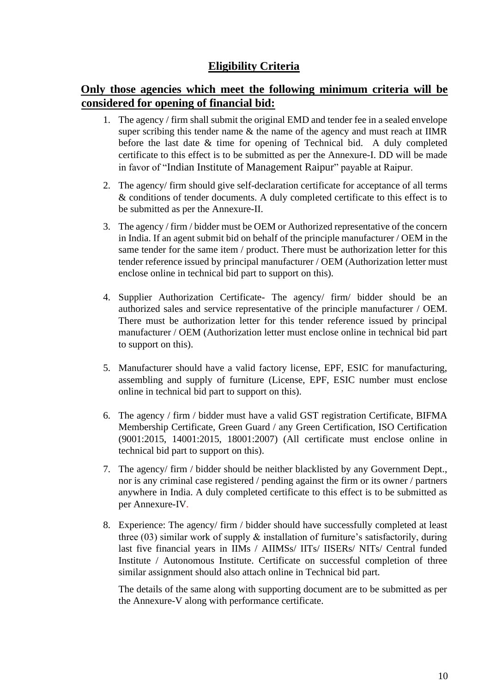#### **Eligibility Criteria**

### **Only those agencies which meet the following minimum criteria will be considered for opening of financial bid:**

- 1. The agency / firm shall submit the original EMD and tender fee in a sealed envelope super scribing this tender name & the name of the agency and must reach at IIMR before the last date & time for opening of Technical bid. A duly completed certificate to this effect is to be submitted as per the Annexure-I. DD will be made in favor of "Indian Institute of Management Raipur" payable at Raipur.
- 2. The agency/ firm should give self-declaration certificate for acceptance of all terms & conditions of tender documents. A duly completed certificate to this effect is to be submitted as per the Annexure-II.
- 3. The agency / firm / bidder must be OEM or Authorized representative of the concern in India. If an agent submit bid on behalf of the principle manufacturer / OEM in the same tender for the same item / product. There must be authorization letter for this tender reference issued by principal manufacturer / OEM (Authorization letter must enclose online in technical bid part to support on this).
- 4. Supplier Authorization Certificate- The agency/ firm/ bidder should be an authorized sales and service representative of the principle manufacturer / OEM. There must be authorization letter for this tender reference issued by principal manufacturer / OEM (Authorization letter must enclose online in technical bid part to support on this).
- 5. Manufacturer should have a valid factory license, EPF, ESIC for manufacturing, assembling and supply of furniture (License, EPF, ESIC number must enclose online in technical bid part to support on this).
- 6. The agency / firm / bidder must have a valid GST registration Certificate, BIFMA Membership Certificate, Green Guard / any Green Certification, ISO Certification (9001:2015, 14001:2015, 18001:2007) (All certificate must enclose online in technical bid part to support on this).
- 7. The agency/ firm / bidder should be neither blacklisted by any Government Dept., nor is any criminal case registered / pending against the firm or its owner / partners anywhere in India. A duly completed certificate to this effect is to be submitted as per Annexure-IV.
- 8. Experience: The agency/ firm / bidder should have successfully completed at least three  $(03)$  similar work of supply  $\&$  installation of furniture's satisfactorily, during last five financial years in IIMs / AIIMSs/ IITs/ IISERs/ NITs/ Central funded Institute / Autonomous Institute. Certificate on successful completion of three similar assignment should also attach online in Technical bid part.

The details of the same along with supporting document are to be submitted as per the Annexure-V along with performance certificate.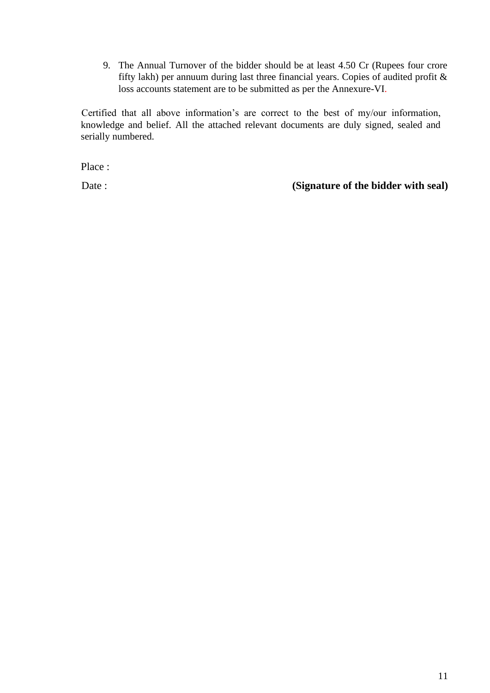9. The Annual Turnover of the bidder should be at least 4.50 Cr (Rupees four crore fifty lakh) per annuum during last three financial years. Copies of audited profit  $\&$ loss accounts statement are to be submitted as per the Annexure-VI.

Certified that all above information's are correct to the best of my/our information, knowledge and belief. All the attached relevant documents are duly signed, sealed and serially numbered.

Place :

Date : **(Signature of the bidder with seal)**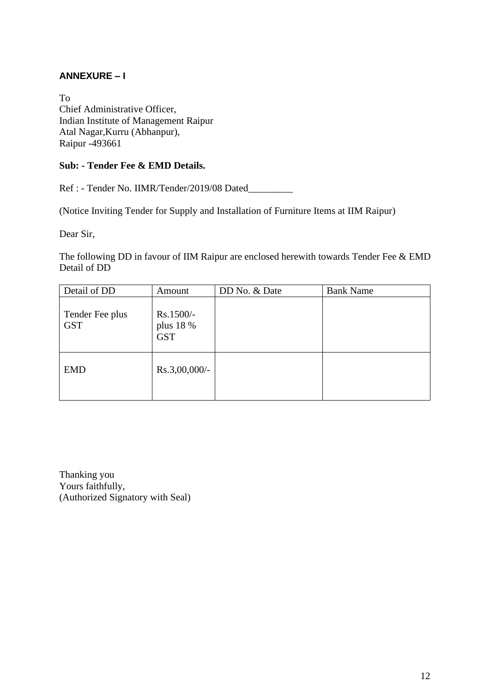#### **ANNEXURE – I**

To Chief Administrative Officer, Indian Institute of Management Raipur Atal Nagar,Kurru (Abhanpur), Raipur -493661

#### **Sub: - Tender Fee & EMD Details.**

Ref : - Tender No. IIMR/Tender/2019/08 Dated\_\_\_\_\_\_\_\_\_

(Notice Inviting Tender for Supply and Installation of Furniture Items at IIM Raipur)

Dear Sir,

The following DD in favour of IIM Raipur are enclosed herewith towards Tender Fee & EMD Detail of DD

| Detail of DD                  | Amount                               | DD No. & Date | <b>Bank Name</b> |
|-------------------------------|--------------------------------------|---------------|------------------|
| Tender Fee plus<br><b>GST</b> | Rs.1500/-<br>plus 18 %<br><b>GST</b> |               |                  |
| <b>EMD</b>                    | $Rs.3,00,000/$ -                     |               |                  |

Thanking you Yours faithfully, (Authorized Signatory with Seal)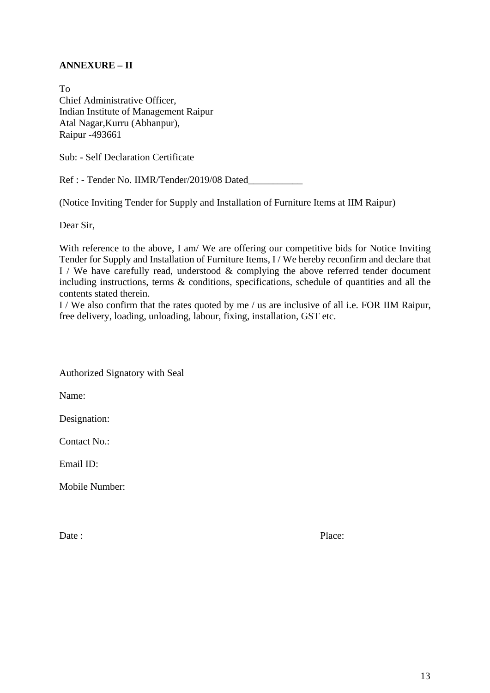#### **ANNEXURE – II**

To Chief Administrative Officer, Indian Institute of Management Raipur Atal Nagar,Kurru (Abhanpur), Raipur -493661

Sub: - Self Declaration Certificate

Ref : - Tender No. IIMR/Tender/2019/08 Dated\_\_\_\_\_\_\_\_\_\_\_

(Notice Inviting Tender for Supply and Installation of Furniture Items at IIM Raipur)

Dear Sir,

With reference to the above, I am/ We are offering our competitive bids for Notice Inviting Tender for Supply and Installation of Furniture Items, I / We hereby reconfirm and declare that I / We have carefully read, understood  $\&$  complying the above referred tender document including instructions, terms & conditions, specifications, schedule of quantities and all the contents stated therein.

I / We also confirm that the rates quoted by me / us are inclusive of all i.e. FOR IIM Raipur, free delivery, loading, unloading, labour, fixing, installation, GST etc.

Authorized Signatory with Seal

Name:

Designation:

Contact No.:

Email ID:

Mobile Number: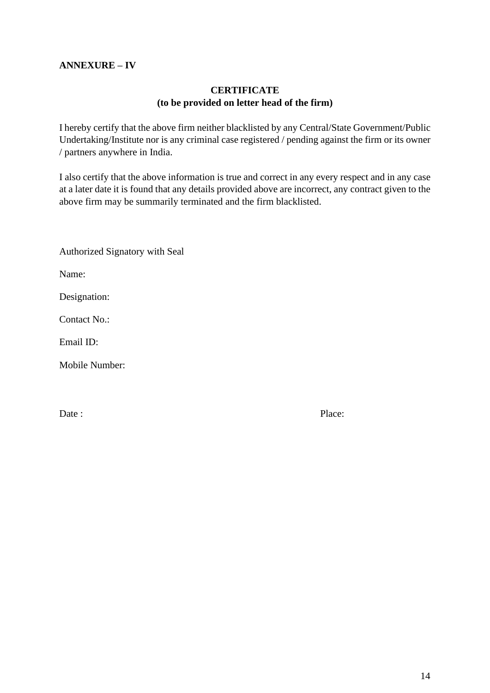#### **ANNEXURE – IV**

#### **CERTIFICATE (to be provided on letter head of the firm)**

I hereby certify that the above firm neither blacklisted by any Central/State Government/Public Undertaking/Institute nor is any criminal case registered / pending against the firm or its owner / partners anywhere in India.

I also certify that the above information is true and correct in any every respect and in any case at a later date it is found that any details provided above are incorrect, any contract given to the above firm may be summarily terminated and the firm blacklisted.

| <b>Authorized Signatory with Seal</b> |
|---------------------------------------|
| Name:                                 |
| Designation:                          |
| Contact No.:                          |
| Email ID:                             |
| <b>Mobile Number:</b>                 |
|                                       |
|                                       |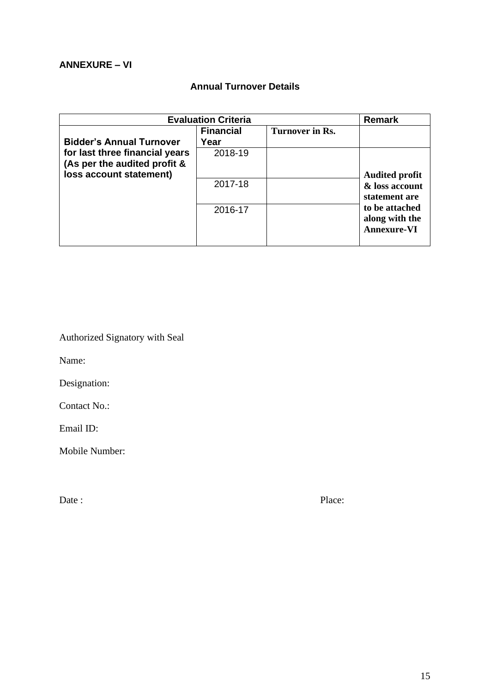#### **Annual Turnover Details**

| <b>Evaluation Criteria</b>                                                                | <b>Remark</b>            |                 |                                                        |
|-------------------------------------------------------------------------------------------|--------------------------|-----------------|--------------------------------------------------------|
| <b>Bidder's Annual Turnover</b>                                                           | <b>Financial</b><br>Year | Turnover in Rs. |                                                        |
| for last three financial years<br>(As per the audited profit &<br>loss account statement) | 2018-19                  |                 | <b>Audited profit</b>                                  |
|                                                                                           | 2017-18                  |                 | & loss account<br>statement are                        |
|                                                                                           | 2016-17                  |                 | to be attached<br>along with the<br><b>Annexure-VI</b> |

Authorized Signatory with Seal

Name:

Designation:

Contact No.:

Email ID:

Mobile Number: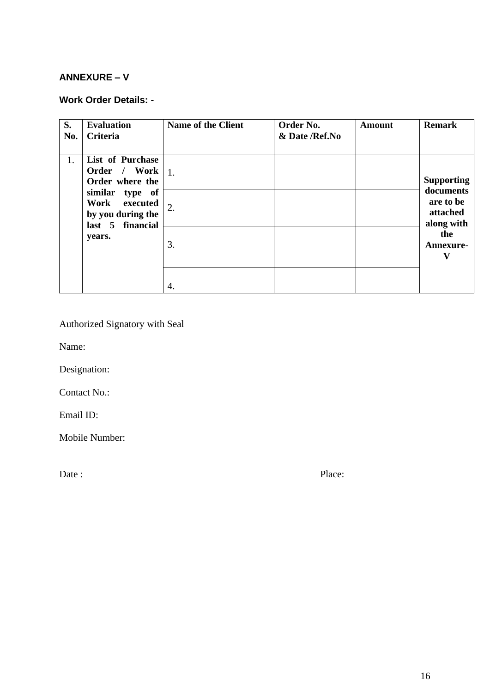#### **ANNEXURE – V**

#### **Work Order Details: -**

| S.<br>No. | <b>Evaluation</b><br><b>Criteria</b>                                                       | <b>Name of the Client</b> | Order No.<br>& Date /Ref.No | <b>Amount</b> | <b>Remark</b>                                    |
|-----------|--------------------------------------------------------------------------------------------|---------------------------|-----------------------------|---------------|--------------------------------------------------|
| 1.        | <b>List of Purchase</b><br>Order / Work<br>Order where the                                 | 1.                        |                             |               | <b>Supporting</b>                                |
|           | similar<br>type of<br>Work<br>executed<br>by you during the<br>financial<br>$last \quad 5$ | 2.                        |                             |               | documents<br>are to be<br>attached<br>along with |
|           | years.                                                                                     | 3.                        |                             |               | the<br>Annexure-<br>v                            |
|           |                                                                                            | 4.                        |                             |               |                                                  |

Authorized Signatory with Seal

Name:

Designation:

Contact No.:

Email ID:

Mobile Number: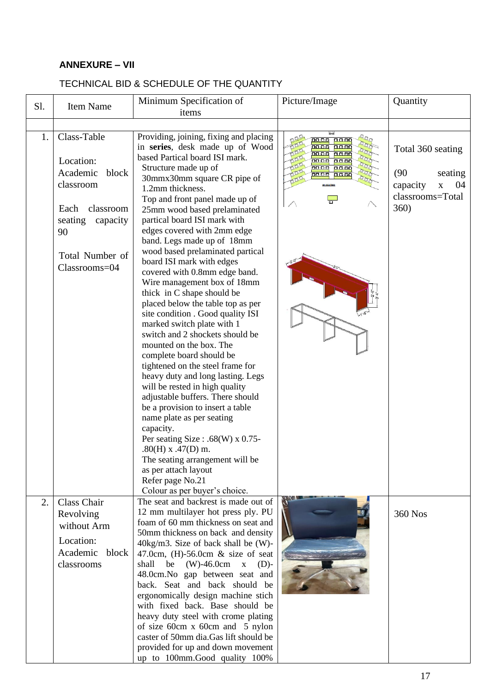#### **ANNEXURE – VII**

#### Sl. Item Name Minimum Specification of Picture/Image Quantity items 1. Class-Table Providing, joining, fixing and placing nna Trom<br>Naong pong in **series**, desk made up of Wood Total 360 seating based Partical board ISI mark. Location: Structure made up of <u>no oo</u>  $0000$ Academic block (90 seating <mark>ಗಾಗಗಾ</mark> កែកកះ 30mmx30mm square CR pipe of classroom capacity x 04 1.2mm thickness. classrooms=Total Top and front panel made up of  $\Box$ Each classroom 360) 25mm wood based prelaminated seating capacity partical board ISI mark with edges covered with 2mm edge 90 band. Legs made up of 18mm wood based prelaminated partical Total Number of board ISI mark with edges Classrooms=04 covered with 0.8mm edge band. Wire management box of 18mm thick in C shape should be placed below the table top as per site condition . Good quality ISI marked switch plate with 1 switch and 2 shockets should be mounted on the box. The complete board should be tightened on the steel frame for heavy duty and long lasting. Legs will be rested in high quality adjustable buffers. There should be a provision to insert a table name plate as per seating capacity. Per seating Size : .68(W) x 0.75- $.80(H)$  x  $.47(D)$  m. The seating arrangement will be as per attach layout Refer page No.21 Colour as per buyer's choice. 2. Class Chair The seat and backrest is made out of 12 mm multilayer hot press ply. PU 360 NosRevolving foam of 60 mm thickness on seat and without Arm 50mm thickness on back and density Location: 40kg/m3. Size of back shall be (W)- Academic block 47.0cm, (H)-56.0cm & size of seat shall be  $(W)$ -46.0cm  $x$  (D)classrooms 48.0cm.No gap between seat and back. Seat and back should be ergonomically design machine stich with fixed back. Base should be heavy duty steel with crome plating of size 60cm x 60cm and 5 nylon

caster of 50mm dia.Gas lift should be provided for up and down movement up to 100mm.Good quality 100%

#### TECHNICAL BID & SCHEDULE OF THE QUANTITY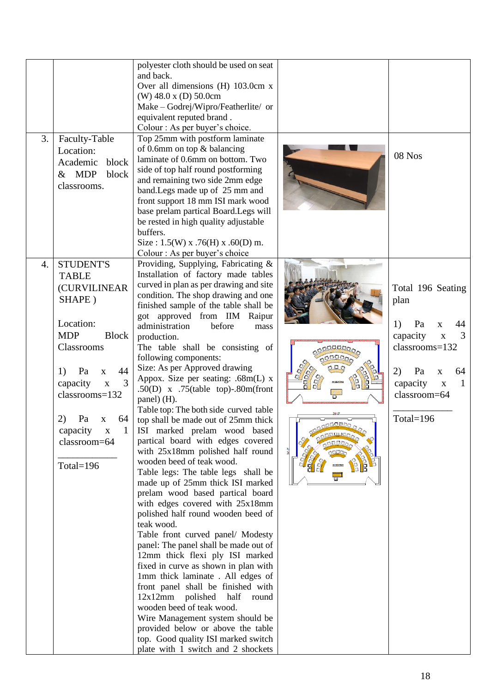| 3.<br>Faculty-Table<br>Location:<br>block<br>Academic<br>& MDP<br>block<br>classrooms.                                                                                                                                                                                                                                         | polyester cloth should be used on seat<br>and back.<br>Over all dimensions (H) 103.0cm x<br>(W) 48.0 x (D) 50.0cm<br>Make - Godrej/Wipro/Featherlite/ or<br>equivalent reputed brand.<br>Colour : As per buyer's choice.<br>Top 25mm with postform laminate<br>of 0.6mm on top & balancing<br>laminate of 0.6mm on bottom. Two<br>side of top half round postforming<br>and remaining two side 2mm edge<br>band. Legs made up of 25 mm and<br>front support 18 mm ISI mark wood<br>base prelam partical Board. Legs will<br>be rested in high quality adjustable<br>buffers.<br>Size: $1.5(W)$ x .76(H) x .60(D) m.<br>Colour : As per buyer's choice                                                                                                                                                                                                                                                                                                                                                                                                                                                                                                                                                                                                                                                                                                                    |                            | 08 Nos                                                                                                                                                                                                                         |
|--------------------------------------------------------------------------------------------------------------------------------------------------------------------------------------------------------------------------------------------------------------------------------------------------------------------------------|--------------------------------------------------------------------------------------------------------------------------------------------------------------------------------------------------------------------------------------------------------------------------------------------------------------------------------------------------------------------------------------------------------------------------------------------------------------------------------------------------------------------------------------------------------------------------------------------------------------------------------------------------------------------------------------------------------------------------------------------------------------------------------------------------------------------------------------------------------------------------------------------------------------------------------------------------------------------------------------------------------------------------------------------------------------------------------------------------------------------------------------------------------------------------------------------------------------------------------------------------------------------------------------------------------------------------------------------------------------------------|----------------------------|--------------------------------------------------------------------------------------------------------------------------------------------------------------------------------------------------------------------------------|
| <b>STUDENT'S</b><br>$\overline{4}$ .<br><b>TABLE</b><br><b>(CURVILINEAR</b><br>SHAPE)<br>Location:<br><b>MDP</b><br><b>Block</b><br>Classrooms<br>44<br>1)<br>Pa<br>$\mathbf X$<br>3<br>capacity<br>$\mathbf{X}$<br>classrooms=132<br>2)<br>64<br>Pa<br>$\mathbf X$<br>capacity<br>$\mathbf X$<br>classroom=64<br>Total= $196$ | Providing, Supplying, Fabricating &<br>Installation of factory made tables<br>curved in plan as per drawing and site<br>condition. The shop drawing and one<br>finished sample of the table shall be<br>got approved from IIM<br>Raipur<br>administration<br>before<br>mass<br>production.<br>The table shall be consisting of<br>following components:<br>Size: As per Approved drawing<br>Appox. Size per seating: .68m(L) x<br>.50(D) x .75(table top)-.80m(front<br>panel) (H).<br>Table top: The both side curved table<br>top shall be made out of 25mm thick<br>ISI marked prelam wood based<br>partical board with edges covered<br>with 25x18mm polished half round<br>wooden beed of teak wood.<br>Table legs: The table legs shall be<br>made up of 25mm thick ISI marked<br>prelam wood based partical board<br>with edges covered with 25x18mm<br>polished half round wooden beed of<br>teak wood.<br>Table front curved panel/ Modesty<br>panel: The panel shall be made out of<br>12mm thick flexi ply ISI marked<br>fixed in curve as shown in plan with<br>1mm thick laminate . All edges of<br>front panel shall be finished with<br>12x12mm<br>polished half round<br>wooden beed of teak wood.<br>Wire Management system should be<br>provided below or above the table<br>top. Good quality ISI marked switch<br>plate with 1 switch and 2 shockets | <b>H SEATING</b><br>soonal | Total 196 Seating<br>plan<br>Pa<br>1)<br>44<br>$\mathbf X$<br>capacity<br>3<br>$\overline{\mathbf{X}}$<br>classrooms=132<br>2)<br>Pa<br>64<br>$\mathbf{X}$<br>capacity<br>$\bar{\mathbf{X}}$<br>1<br>classroom=64<br>Total=196 |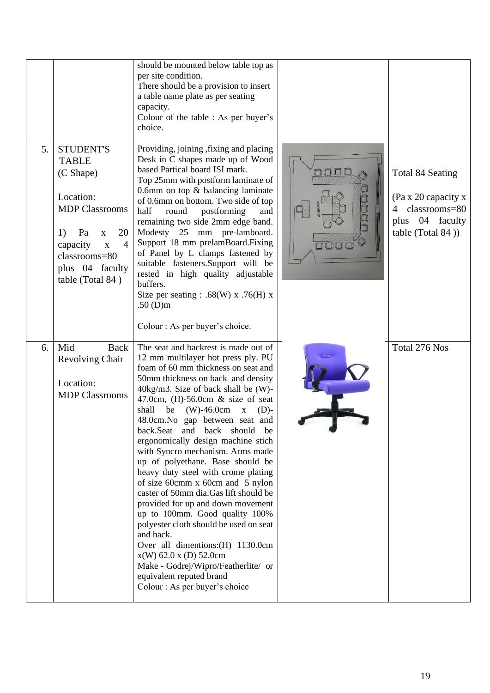|    |                                                                                                                                                                                                                           | should be mounted below table top as<br>per site condition.<br>There should be a provision to insert<br>a table name plate as per seating<br>capacity.<br>Colour of the table : As per buyer's<br>choice.                                                                                                                                                                                                                                                                                                                                                                                                                                                                                                                                                                                                                                                                                                           |                     |                                                                                                                    |
|----|---------------------------------------------------------------------------------------------------------------------------------------------------------------------------------------------------------------------------|---------------------------------------------------------------------------------------------------------------------------------------------------------------------------------------------------------------------------------------------------------------------------------------------------------------------------------------------------------------------------------------------------------------------------------------------------------------------------------------------------------------------------------------------------------------------------------------------------------------------------------------------------------------------------------------------------------------------------------------------------------------------------------------------------------------------------------------------------------------------------------------------------------------------|---------------------|--------------------------------------------------------------------------------------------------------------------|
| 5. | <b>STUDENT'S</b><br><b>TABLE</b><br>(C Shape)<br>Location:<br><b>MDP Classrooms</b><br>20<br>1)<br>Pa<br>$\mathbf X$<br>$\overline{4}$<br>capacity<br>$\mathbf X$<br>classrooms=80<br>plus 04 faculty<br>table (Total 84) | Providing, joining, fixing and placing<br>Desk in C shapes made up of Wood<br>based Partical board ISI mark.<br>Top 25mm with postform laminate of<br>0.6mm on top & balancing laminate<br>of 0.6mm on bottom. Two side of top<br>half<br>round<br>postforming<br>and<br>remaining two side 2mm edge band.<br>Modesty 25 mm pre-lamboard.<br>Support 18 mm prelamBoard.Fixing<br>of Panel by L clamps fastened by<br>suitable fasteners.Support will be<br>rested in high quality adjustable<br>buffers.<br>Size per seating : .68(W) x .76(H) x<br>.50 $(D)m$<br>Colour : As per buyer's choice.                                                                                                                                                                                                                                                                                                                   | oooo<br>O<br>000000 | Total 84 Seating<br>(Pa x 20 capacity x<br>classrooms=80<br>$\overline{4}$<br>plus 04 faculty<br>table (Total 84)) |
| 6. | Mid<br><b>Back</b><br>Revolving Chair<br>Location:<br><b>MDP Classrooms</b>                                                                                                                                               | The seat and backrest is made out of<br>12 mm multilayer hot press ply. PU<br>foam of 60 mm thickness on seat and<br>50mm thickness on back and density<br>$40\text{kg/m3}$ . Size of back shall be (W)-<br>47.0cm, $(H)$ -56.0cm & size of seat<br>$(W) - 46.0cm$<br>shall<br>be<br>$\mathbf X$<br>$(D)$ -<br>48.0cm.No gap between seat and<br>back.Seat and back should be<br>ergonomically design machine stich<br>with Syncro mechanism. Arms made<br>up of polyethane. Base should be<br>heavy duty steel with crome plating<br>of size 60cmm x 60cm and 5 nylon<br>caster of 50mm dia.Gas lift should be<br>provided for up and down movement<br>up to 100mm. Good quality 100%<br>polyester cloth should be used on seat<br>and back.<br>Over all dimentions: (H) 1130.0cm<br>$x(W)$ 62.0 x (D) 52.0cm<br>Make - Godrej/Wipro/Featherlite/ or<br>equivalent reputed brand<br>Colour : As per buyer's choice |                     | Total 276 Nos                                                                                                      |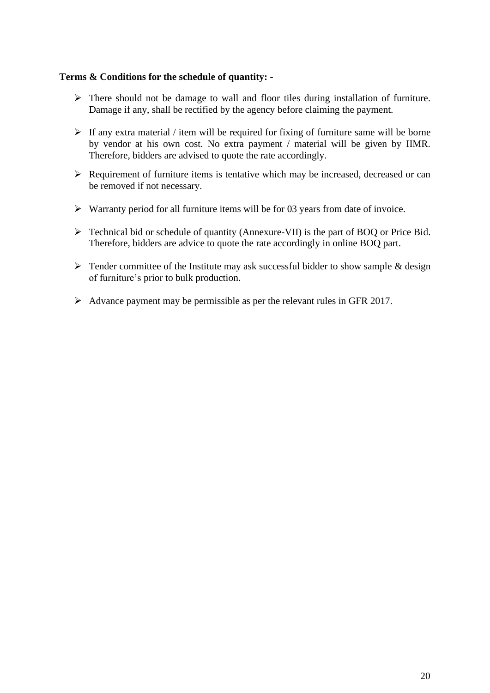#### **Terms & Conditions for the schedule of quantity: -**

- ➢ There should not be damage to wall and floor tiles during installation of furniture. Damage if any, shall be rectified by the agency before claiming the payment.
- $\triangleright$  If any extra material / item will be required for fixing of furniture same will be borne by vendor at his own cost. No extra payment / material will be given by IIMR. Therefore, bidders are advised to quote the rate accordingly.
- $\triangleright$  Requirement of furniture items is tentative which may be increased, decreased or can be removed if not necessary.
- $\triangleright$  Warranty period for all furniture items will be for 03 years from date of invoice.
- ➢ Technical bid or schedule of quantity (Annexure-VII) is the part of BOQ or Price Bid. Therefore, bidders are advice to quote the rate accordingly in online BOQ part.
- $\triangleright$  Tender committee of the Institute may ask successful bidder to show sample & design of furniture's prior to bulk production.
- $\triangleright$  Advance payment may be permissible as per the relevant rules in GFR 2017.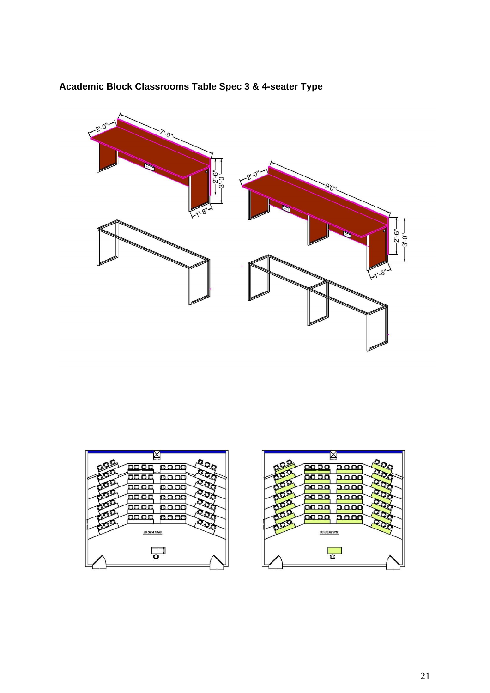

#### **Academic Block Classrooms Table Spec 3 & 4-seater Type**



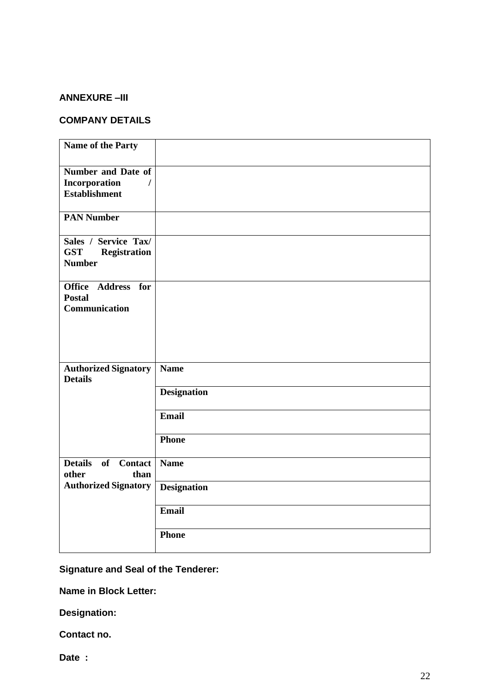#### **ANNEXURE –III**

#### **COMPANY DETAILS**

| Name of the Party                                                          |                    |
|----------------------------------------------------------------------------|--------------------|
| Number and Date of<br>Incorporation<br>$\prime$<br><b>Establishment</b>    |                    |
| <b>PAN Number</b>                                                          |                    |
| Sales / Service Tax/<br><b>GST</b><br><b>Registration</b><br><b>Number</b> |                    |
| Office Address for<br><b>Postal</b><br>Communication                       |                    |
| <b>Authorized Signatory</b><br><b>Details</b>                              | <b>Name</b>        |
|                                                                            | <b>Designation</b> |
|                                                                            | Email              |
|                                                                            | <b>Phone</b>       |
| <b>Details</b><br>of Contact<br>other<br>than                              | <b>Name</b>        |
| <b>Authorized Signatory</b>                                                | <b>Designation</b> |
|                                                                            | Email              |
|                                                                            | Phone              |

**Signature and Seal of the Tenderer:** 

**Name in Block Letter:** 

**Designation:** 

**Contact no.** 

**Date :**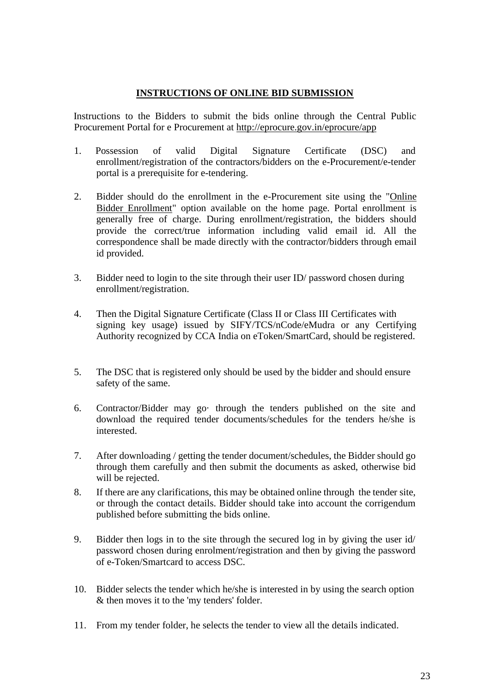#### **INSTRUCTIONS OF ONLINE BID SUBMISSION**

 Instructions to the Bidders to submit the bids online through the Central Public Procurement Portal for e Procurement at<http://eprocure.gov.in/eprocure/app>

- 1. Possession of valid Digital Signature Certificate (DSC) and enrollment/registration of the contractors/bidders on the e-Procurement/e-tender portal is a prerequisite for e-tendering.
- 2. Bidder should do the enrollment in the e-Procurement site using the "Online Bidder Enrollment" option available on the home page. Portal enrollment is generally free of charge. During enrollment/registration, the bidders should provide the correct/true information including valid email id. All the correspondence shall be made directly with the contractor/bidders through email id provided.
- 3. Bidder need to login to the site through their user ID/ password chosen during enrollment/registration.
- 4. Then the Digital Signature Certificate (Class II or Class III Certificates with signing key usage) issued by SIFY/TCS/nCode/eMudra or any Certifying Authority recognized by CCA India on eToken/SmartCard, should be registered.
- 5. The DSC that is registered only should be used by the bidder and should ensure safety of the same.
- 6. Contractor/Bidder may go· through the tenders published on the site and download the required tender documents/schedules for the tenders he/she is interested.
- 7. After downloading / getting the tender document/schedules, the Bidder should go through them carefully and then submit the documents as asked, otherwise bid will be rejected.
- 8. If there are any clarifications, this may be obtained online through the tender site, or through the contact details. Bidder should take into account the corrigendum published before submitting the bids online.
- 9. Bidder then logs in to the site through the secured log in by giving the user id/ password chosen during enrolment/registration and then by giving the password of e-Token/Smartcard to access DSC.
- 10. Bidder selects the tender which he/she is interested in by using the search option & then moves it to the 'my tenders' folder.
- 11. From my tender folder, he selects the tender to view all the details indicated.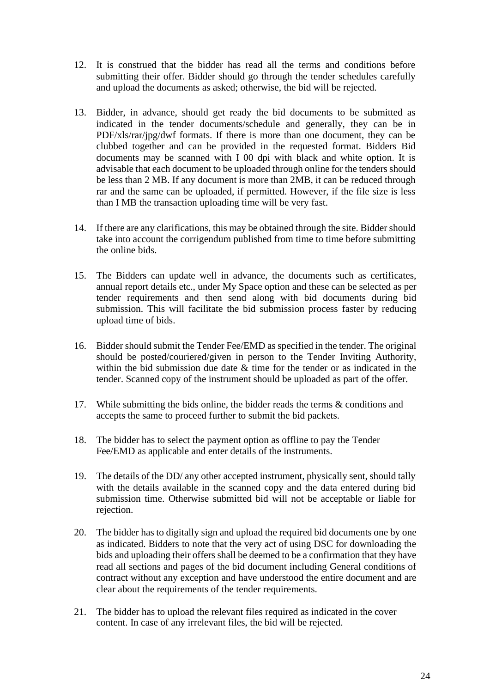- 12. It is construed that the bidder has read all the terms and conditions before submitting their offer. Bidder should go through the tender schedules carefully and upload the documents as asked; otherwise, the bid will be rejected.
- 13. Bidder, in advance, should get ready the bid documents to be submitted as indicated in the tender documents/schedule and generally, they can be in PDF/xls/rar/jpg/dwf formats. If there is more than one document, they can be clubbed together and can be provided in the requested format. Bidders Bid documents may be scanned with I 00 dpi with black and white option. It is advisable that each document to be uploaded through online for the tenders should be less than 2 MB. If any document is more than 2MB, it can be reduced through rar and the same can be uploaded, if permitted. However, if the file size is less than I MB the transaction uploading time will be very fast.
- 14. If there are any clarifications, this may be obtained through the site. Bidder should take into account the corrigendum published from time to time before submitting the online bids.
- 15. The Bidders can update well in advance, the documents such as certificates, annual report details etc., under My Space option and these can be selected as per tender requirements and then send along with bid documents during bid submission. This will facilitate the bid submission process faster by reducing upload time of bids.
- 16. Bidder should submit the Tender Fee/EMD as specified in the tender. The original should be posted/couriered/given in person to the Tender Inviting Authority, within the bid submission due date & time for the tender or as indicated in the tender. Scanned copy of the instrument should be uploaded as part of the offer.
- 17. While submitting the bids online, the bidder reads the terms & conditions and accepts the same to proceed further to submit the bid packets.
- 18. The bidder has to select the payment option as offline to pay the Tender Fee/EMD as applicable and enter details of the instruments.
- 19. The details of the DD/ any other accepted instrument, physically sent, should tally with the details available in the scanned copy and the data entered during bid submission time. Otherwise submitted bid will not be acceptable or liable for rejection.
- 20. The bidder has to digitally sign and upload the required bid documents one by one as indicated. Bidders to note that the very act of using DSC for downloading the bids and uploading their offers shall be deemed to be a confirmation that they have read all sections and pages of the bid document including General conditions of contract without any exception and have understood the entire document and are clear about the requirements of the tender requirements.
- 21. The bidder has to upload the relevant files required as indicated in the cover content. In case of any irrelevant files, the bid will be rejected.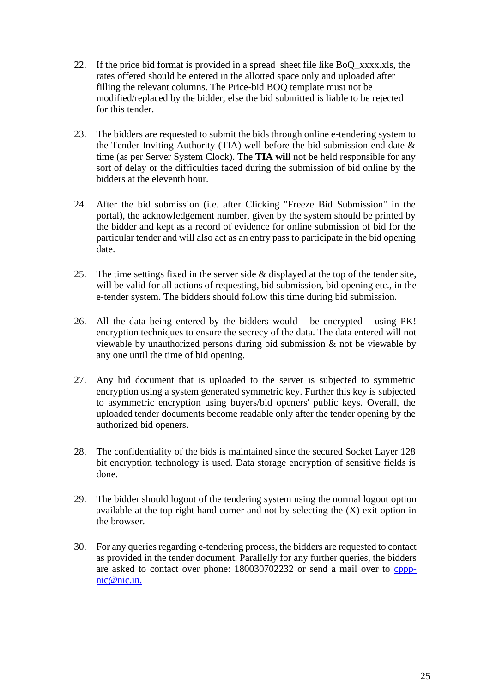- 22. If the price bid format is provided in a spread sheet file like BoQ\_xxxx.xls, the rates offered should be entered in the allotted space only and uploaded after filling the relevant columns. The Price-bid BOQ template must not be modified/replaced by the bidder; else the bid submitted is liable to be rejected for this tender.
- 23. The bidders are requested to submit the bids through online e-tendering system to the Tender Inviting Authority (TIA) well before the bid submission end date  $\&$ time (as per Server System Clock). The **TIA will** not be held responsible for any sort of delay or the difficulties faced during the submission of bid online by the bidders at the eleventh hour.
- 24. After the bid submission (i.e. after Clicking "Freeze Bid Submission" in the portal), the acknowledgement number, given by the system should be printed by the bidder and kept as a record of evidence for online submission of bid for the particular tender and will also act as an entry pass to participate in the bid opening date.
- 25. The time settings fixed in the server side & displayed at the top of the tender site, will be valid for all actions of requesting, bid submission, bid opening etc., in the e-tender system. The bidders should follow this time during bid submission.
- 26. All the data being entered by the bidders would be encrypted using PK! encryption techniques to ensure the secrecy of the data. The data entered will not viewable by unauthorized persons during bid submission & not be viewable by any one until the time of bid opening.
- 27. Any bid document that is uploaded to the server is subjected to symmetric encryption using a system generated symmetric key. Further this key is subjected to asymmetric encryption using buyers/bid openers' public keys. Overall, the uploaded tender documents become readable only after the tender opening by the authorized bid openers.
- 28. The confidentiality of the bids is maintained since the secured Socket Layer 128 bit encryption technology is used. Data storage encryption of sensitive fields is done.
- 29. The bidder should logout of the tendering system using the normal logout option available at the top right hand comer and not by selecting the (X) exit option in the browser.
- 30. For any queries regarding e-tendering process, the bidders are requested to contact as provided in the tender document. Parallelly for any further queries, the bidders are asked to contact over phone: 180030702232 or send a mail over to [cppp](mailto:cppp-nic@nic.in.)[nic@nic.in.](mailto:cppp-nic@nic.in.)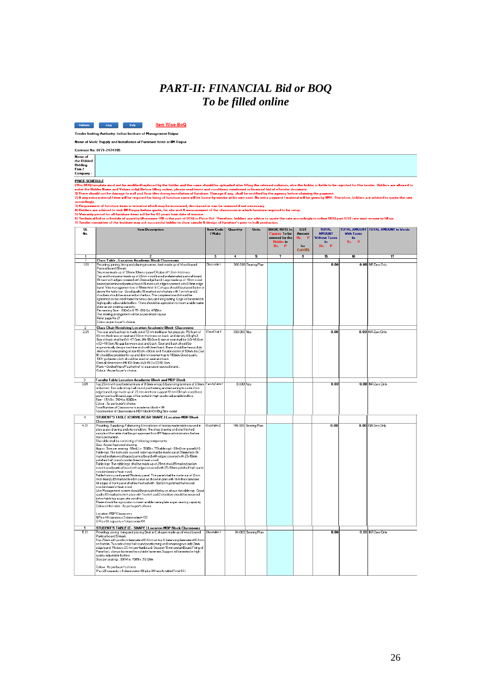## *PART-II: FINANCIAL Bid or BOQ To be filled online*



.<br>Tender Inviting Authority: Indian Institute of Management Raipur

Name of Work: Supply and Installation of Furniture Items at IIM Raipur

|         | Contract No: 0771-2474705 |
|---------|---------------------------|
| Name of |                           |

Name of<br>the Bidder/<br>Bidding<br>Firm *I*<br>Company :

PRICE SCHEDULE<br>(This BOQ template must not be modified/replaced by the bidder and the same should be uploaded after filling the relevant columns, else the bidder is liable to be rejected for this tender. Bidders are allove

2) any estrainaterial *i* item will be required for fising of furniture same will be borne by vendor at his own cost. No estra payment *i* material will be given by IIMR. Therefore, bidders are advised to quote about a coo

| $\overline{\mathbf{S}}$<br>No. | <b>Item Description</b>                                                                                                                                                                                                                                                                                                                                                                                                                                                                                                                                                                                                                                                                                                                                                                                                                                                                                                                                                                                                                                                                                                                                                                                                                                                                                                                                                                                                                                                                                                                                                                                                                                                       | <b>Item Code</b><br>/ Make | <b>Quantity</b> | Units                | <b>BASIC RATE In</b><br><b>Figures To be</b><br>entered by the<br><b>Bidder</b> in<br>Rs.<br>$\mathbf{p}$ | <b>GST</b><br>Amount<br>Rs.<br>$\mathbf P$<br>for<br>Col (15) | <b>TOTAL</b><br><b>AMOUNT</b><br><b>Without Taxes</b><br>in.<br>P<br>Rs. | <b>With Taxes</b><br>in.<br>Rs.<br>P | TOTAL AMOUNT TOTAL AMOUNT In Words |
|--------------------------------|-------------------------------------------------------------------------------------------------------------------------------------------------------------------------------------------------------------------------------------------------------------------------------------------------------------------------------------------------------------------------------------------------------------------------------------------------------------------------------------------------------------------------------------------------------------------------------------------------------------------------------------------------------------------------------------------------------------------------------------------------------------------------------------------------------------------------------------------------------------------------------------------------------------------------------------------------------------------------------------------------------------------------------------------------------------------------------------------------------------------------------------------------------------------------------------------------------------------------------------------------------------------------------------------------------------------------------------------------------------------------------------------------------------------------------------------------------------------------------------------------------------------------------------------------------------------------------------------------------------------------------------------------------------------------------|----------------------------|-----------------|----------------------|-----------------------------------------------------------------------------------------------------------|---------------------------------------------------------------|--------------------------------------------------------------------------|--------------------------------------|------------------------------------|
| 1.                             | $\overline{ }$                                                                                                                                                                                                                                                                                                                                                                                                                                                                                                                                                                                                                                                                                                                                                                                                                                                                                                                                                                                                                                                                                                                                                                                                                                                                                                                                                                                                                                                                                                                                                                                                                                                                |                            | $\overline{4}$  | 5                    | 7                                                                                                         | T                                                             | $\overline{15}$                                                          | $\overline{16}$                      |                                    |
|                                | <b>Class Table, Location Academic Block Classrooms</b>                                                                                                                                                                                                                                                                                                                                                                                                                                                                                                                                                                                                                                                                                                                                                                                                                                                                                                                                                                                                                                                                                                                                                                                                                                                                                                                                                                                                                                                                                                                                                                                                                        |                            |                 |                      |                                                                                                           |                                                               |                                                                          |                                      |                                    |
| 1.01                           | Providing, joining, fixing and placing in series, desk made up of Wood based<br>Partical board ISI mark<br>Structure made up of 30mmx30mm square CR pipe of 1.2mm thickness.<br>Top and front panel made up of 25mm wood based prelaminated partical board<br>ISI mark with edges covered with 2mm edge band. Legs made up of 18mm wood<br>based prelaminated partical board ISI mark with edges covered with 0.8mm edge<br>band. Wire management box of 18mm thick in C shape should be placed below or<br>above the table top. Good quality ISI marked switch plate with 1 switch and 2<br>shockets should be mounted on the box. The complete board should be<br>tightened on the steel frame for heavy duty and long lasting. Legs will be rested in<br>high quality adjustable buffers. There should be a provision to insert a table name<br>plate as per seating capacity.<br>Per seating Size: .68(W) x 0.75-.80(H) x .47(D) m.<br>The seating arrangement will be as per attach layout<br>Refer page No.21<br>Colour as per buyer's choice.                                                                                                                                                                                                                                                                                                                                                                                                                                                                                                                                                                                                                          | Classtable 1               |                 | 360.000 Seating Plan |                                                                                                           |                                                               | 0.00                                                                     |                                      | 0.00 INR Zero Only                 |
| $\overline{2}$<br>2.01         | <b>Class Chair Revolving Location Academic Block Classrooms</b><br>The seat and backrest is made out of 12 mm multilayer hot press ply. PU foam of<br>60 mm thickness on seat and 50mm thickness on back and density 40kg/m3.<br>Size of back shall be (W)-47.0cm, (H)-56.0cm & size of seat shall be (W)-46.0cm<br>x (D)-48.0cm. No gap between seat and back. Seat and back should be<br>ergonomically design machine stich with fixed back. Base should be heavy duty<br>steel with crome plating of size 60cm x 60cm and 5 nylon caster of 50mm dia.Gas<br>lift should be provided for up and down movement up to 100mm. Good quality<br>100% polyester cloth should be used on seat and back.<br>Over all dimensions (H) 103.0cm x (W) 48.0 x (D) 50.0cm<br>Make - Godrej/Wipro/Featherlite/ or equivalent reputed brand.<br>Colour: As per buyer's choice.                                                                                                                                                                                                                                                                                                                                                                                                                                                                                                                                                                                                                                                                                                                                                                                                              | ClassChair 1               | 360.000 Nos     |                      |                                                                                                           |                                                               | 0.00                                                                     |                                      | 0.00 INR Zero Only                 |
| 3<br>3.01                      | <b>Faculty Table Location Academic Block and MDP Block</b><br>Top 25mm with postform laminate of 0.6mm on top & balancing laminate of 0.6mm FacultyTable 1                                                                                                                                                                                                                                                                                                                                                                                                                                                                                                                                                                                                                                                                                                                                                                                                                                                                                                                                                                                                                                                                                                                                                                                                                                                                                                                                                                                                                                                                                                                    |                            | 8.000 Nos       |                      |                                                                                                           |                                                               | 0.00                                                                     |                                      | 0.00 INR Zero Only                 |
|                                | on bottom. Two side of top half round postforming and remaining two side 2mm<br>edge band. Legs made up of 25 mm and front support 18 mm ISI mark wood base<br>prelam partical Board. Legs will be rested in high quality adjustable buffers.<br>Size: 1.5(W) x .76(H) x .60(D) m.<br>Colour : As per buyer's choice<br>Total Number of Classrooms in academic block = 04<br>Total number of Classrooms in MDP block=04 (Big Size room)                                                                                                                                                                                                                                                                                                                                                                                                                                                                                                                                                                                                                                                                                                                                                                                                                                                                                                                                                                                                                                                                                                                                                                                                                                       |                            |                 |                      |                                                                                                           |                                                               |                                                                          |                                      |                                    |
| $\overline{4}$                 | STUDENT'S TABLE (CURVILINEAR SHAPE) Location MDP Block<br><b>Classrooms</b>                                                                                                                                                                                                                                                                                                                                                                                                                                                                                                                                                                                                                                                                                                                                                                                                                                                                                                                                                                                                                                                                                                                                                                                                                                                                                                                                                                                                                                                                                                                                                                                                   |                            |                 |                      |                                                                                                           |                                                               |                                                                          |                                      |                                    |
| 4.01<br>5                      | Providing, Supplying, Fabricating & Installation of factory made tables curved in<br>plan as per drawing and site condition. The shop drawing and one finished<br>sample of the table shall be got approved from IIM Raipur administration before<br>mass production.<br>The table shall be consisting of following components:<br>Size: As per Approved drawing<br>Appox. Size per seating: .68m(L) x .50(D) x .75(table top)-.80m(front panel) (H).<br>Table top: The both side ourved table top shall be made out of 25mm thick ISI<br>marked prelam wood based partical board with edges covered with 25x18mm<br>polished half round wooden beed of teak wood.<br>Table legs: The table legs shall be made up of 25mm thick ISI marked prelam<br>wood based partical board with edges covered with 25x18mm polished half round<br>wooden beed of teak wood.<br>Table front ourved panel! Modesty panel: The panel shall be made out of 12mm<br>thick flexi ply ISI marked fixed in curve as shown in plan with 1mm thick laminate.<br>All edges of front panel shall be finished with 12x12mm polished half round<br>wooden beed of teak wood.<br>Wire Management system should be provided below or above the table top. Good<br>quality ISI marked switch plate with 1 switch and 2 shockets should be mounted<br>below table top as per site condition.<br>There should be a provision to insert a table name plate as per seating capacity.<br>Colour of the table : As per buyer's choice.<br>Location: MDP Classrooms<br>1) Pax 44 capacity x 3 classrooms=132<br>2) Pa x 64 capacity x 1 classroom=64<br>STUDENT'S TABLE (C- SHAPE ) Location MDP Block Classrooms | Classtable 2               |                 | 196.000 Seating Plan |                                                                                                           |                                                               | 0.00                                                                     |                                      | 0.00 INR Zero Only                 |
| 5.01                           | Providing, joining , fising and placing Desk in C shapes made up of Wood based<br>Partical board ISI mark.<br>Top 25mm with postform laminate of 0.6mm on top & balancing laminate of 0.6mm<br>on bottom. Two side of top half round postforming and remaining two side 2mm<br>edge band. Modesty 25 mm pre-lamboard. Support 18 mm prelamBoard. Fixing of<br>Panel by L clamps fastened by suitable fasteners. Support will be rested in high<br>quality adjustable buffers.<br>Size per seating: .68(W) x .76(H) x .50 (D)m<br>Colour : As per buyer's choice.<br>Pa x 20 capacity x 4 classrooms=80 plus 04 faculty table (Total 84)                                                                                                                                                                                                                                                                                                                                                                                                                                                                                                                                                                                                                                                                                                                                                                                                                                                                                                                                                                                                                                       | Classtable 3               |                 | 84.000 Seating Plan  |                                                                                                           |                                                               | 0.00                                                                     |                                      | 0.00 INR Zero Only                 |